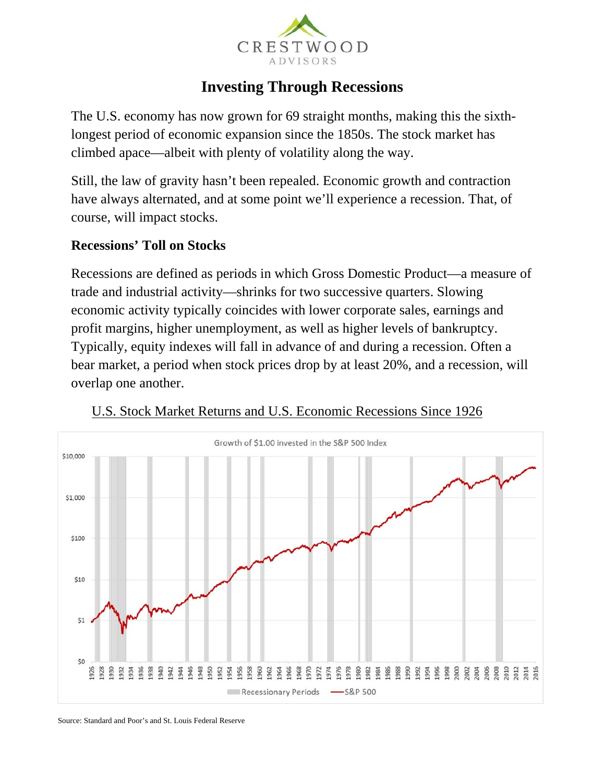

# **Investing Through Recessions**

The U.S. economy has now grown for 69 straight months, making this the sixthlongest period of economic expansion since the 1850s. The stock market has climbed apace—albeit with plenty of volatility along the way.

Still, the law of gravity hasn't been repealed. Economic growth and contraction have always alternated, and at some point we'll experience a recession. That, of course, will impact stocks.

#### **Recessions' Toll on Stocks**

Recessions are defined as periods in which Gross Domestic Product—a measure of trade and industrial activity—shrinks for two successive quarters. Slowing economic activity typically coincides with lower corporate sales, earnings and profit margins, higher unemployment, as well as higher levels of bankruptcy. Typically, equity indexes will fall in advance of and during a recession. Often a bear market, a period when stock prices drop by at least 20%, and a recession, will overlap one another.



#### U.S. Stock Market Returns and U.S. Economic Recessions Since 1926

Source: Standard and Poor's and St. Louis Federal Reserve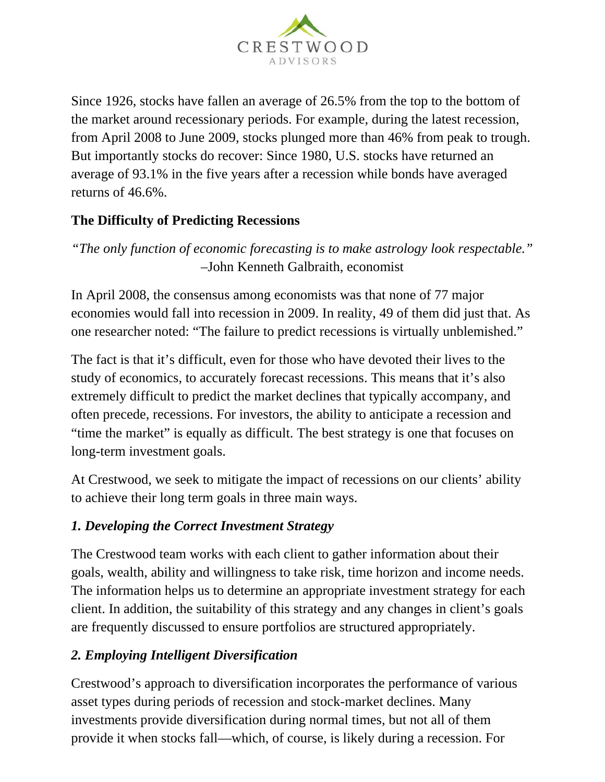

Since 1926, stocks have fallen an average of 26.5% from the top to the bottom of the market around recessionary periods. For example, during the latest recession, from April 2008 to June 2009, stocks plunged more than 46% from peak to trough. But importantly stocks do recover: Since 1980, U.S. stocks have returned an average of 93.1% in the five years after a recession while bonds have averaged returns of 46.6%.

## **The Difficulty of Predicting Recessions**

*"The only function of economic forecasting is to make astrology look respectable."*  –John Kenneth Galbraith, economist

In April 2008, the consensus among economists was that none of 77 major economies would fall into recession in 2009. In reality, 49 of them did just that. As one researcher noted: "The failure to predict recessions is virtually unblemished."

The fact is that it's difficult, even for those who have devoted their lives to the study of economics, to accurately forecast recessions. This means that it's also extremely difficult to predict the market declines that typically accompany, and often precede, recessions. For investors, the ability to anticipate a recession and "time the market" is equally as difficult. The best strategy is one that focuses on long-term investment goals.

At Crestwood, we seek to mitigate the impact of recessions on our clients' ability to achieve their long term goals in three main ways.

## *1. Developing the Correct Investment Strategy*

The Crestwood team works with each client to gather information about their goals, wealth, ability and willingness to take risk, time horizon and income needs. The information helps us to determine an appropriate investment strategy for each client. In addition, the suitability of this strategy and any changes in client's goals are frequently discussed to ensure portfolios are structured appropriately.

## *2. Employing Intelligent Diversification*

Crestwood's approach to diversification incorporates the performance of various asset types during periods of recession and stock-market declines. Many investments provide diversification during normal times, but not all of them provide it when stocks fall—which, of course, is likely during a recession. For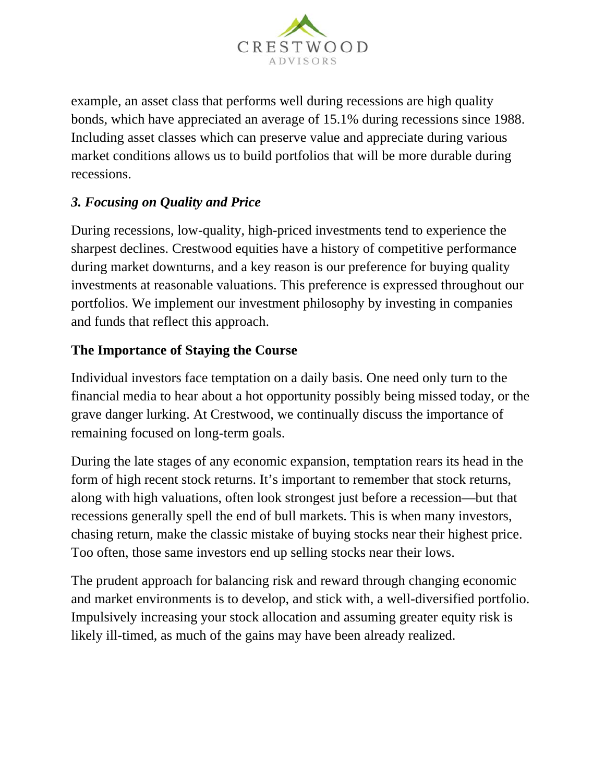

example, an asset class that performs well during recessions are high quality bonds, which have appreciated an average of 15.1% during recessions since 1988. Including asset classes which can preserve value and appreciate during various market conditions allows us to build portfolios that will be more durable during recessions.

# *3. Focusing on Quality and Price*

During recessions, low-quality, high-priced investments tend to experience the sharpest declines. Crestwood equities have a history of competitive performance during market downturns, and a key reason is our preference for buying quality investments at reasonable valuations. This preference is expressed throughout our portfolios. We implement our investment philosophy by investing in companies and funds that reflect this approach.

#### **The Importance of Staying the Course**

Individual investors face temptation on a daily basis. One need only turn to the financial media to hear about a hot opportunity possibly being missed today, or the grave danger lurking. At Crestwood, we continually discuss the importance of remaining focused on long-term goals.

During the late stages of any economic expansion, temptation rears its head in the form of high recent stock returns. It's important to remember that stock returns, along with high valuations, often look strongest just before a recession—but that recessions generally spell the end of bull markets. This is when many investors, chasing return, make the classic mistake of buying stocks near their highest price. Too often, those same investors end up selling stocks near their lows.

The prudent approach for balancing risk and reward through changing economic and market environments is to develop, and stick with, a well-diversified portfolio. Impulsively increasing your stock allocation and assuming greater equity risk is likely ill-timed, as much of the gains may have been already realized.